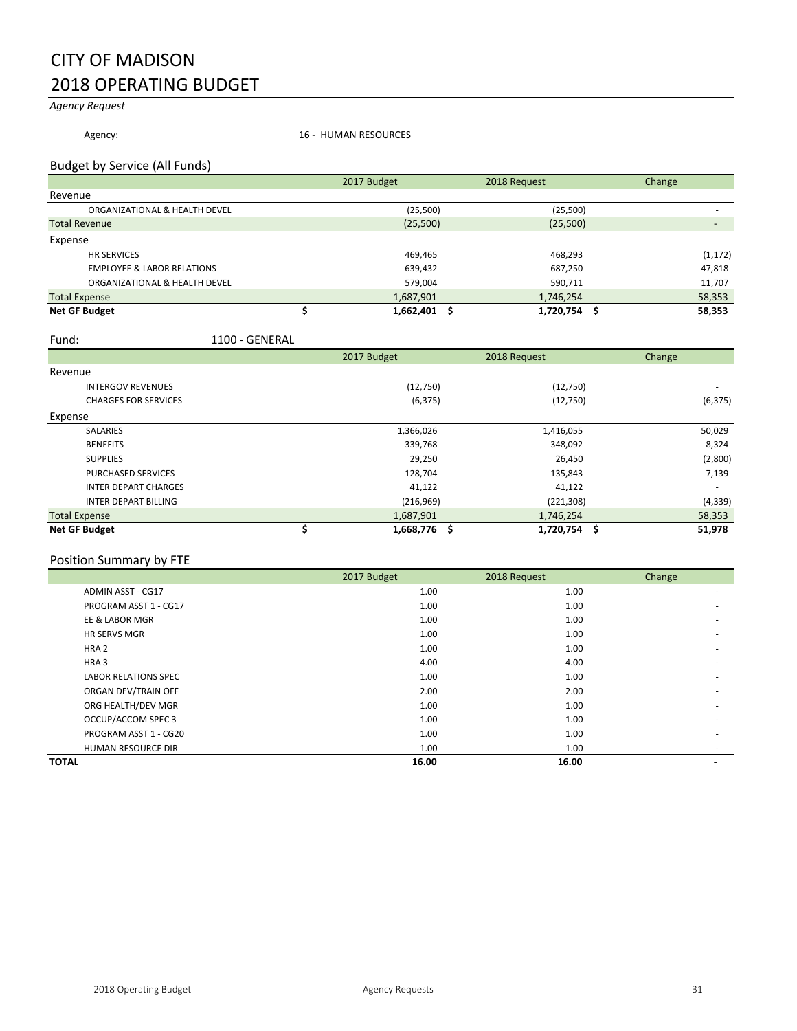## CITY OF MADISON 2018 OPERATING BUDGET

### *Agency Request*

Agency: 16 - HUMAN RESOURCES

#### Budget by Service (All Funds)

|                                       | 2017 Budget    | 2018 Request | Change   |
|---------------------------------------|----------------|--------------|----------|
| Revenue                               |                |              |          |
| ORGANIZATIONAL & HEALTH DEVEL         | (25,500)       | (25,500)     |          |
| <b>Total Revenue</b>                  | (25,500)       | (25,500)     |          |
| Expense                               |                |              |          |
| <b>HR SERVICES</b>                    | 469,465        | 468,293      | (1, 172) |
| <b>EMPLOYEE &amp; LABOR RELATIONS</b> | 639,432        | 687,250      | 47,818   |
| ORGANIZATIONAL & HEALTH DEVEL         | 579,004        | 590,711      | 11,707   |
| <b>Total Expense</b>                  | 1,687,901      | 1,746,254    | 58,353   |
| <b>Net GF Budget</b>                  | $1,662,401$ \$ | 1,720,754 \$ | 58,353   |

Fund: 1100 - GENERAL

|                             | 2017 Budget  | 2018 Request | Change   |
|-----------------------------|--------------|--------------|----------|
| Revenue                     |              |              |          |
| <b>INTERGOV REVENUES</b>    | (12,750)     | (12,750)     |          |
| <b>CHARGES FOR SERVICES</b> | (6, 375)     | (12,750)     | (6, 375) |
| Expense                     |              |              |          |
| <b>SALARIES</b>             | 1,366,026    | 1,416,055    | 50,029   |
| <b>BENEFITS</b>             | 339,768      | 348,092      | 8,324    |
| <b>SUPPLIES</b>             | 29,250       | 26,450       | (2,800)  |
| <b>PURCHASED SERVICES</b>   | 128,704      | 135,843      | 7,139    |
| <b>INTER DEPART CHARGES</b> | 41,122       | 41,122       |          |
| <b>INTER DEPART BILLING</b> | (216,969)    | (221, 308)   | (4, 339) |
| <b>Total Expense</b>        | 1,687,901    | 1,746,254    | 58,353   |
| <b>Net GF Budget</b>        | 1,668,776 \$ | 1,720,754 \$ | 51,978   |

### Position Summary by FTE

|                             | 2017 Budget | 2018 Request | Change |
|-----------------------------|-------------|--------------|--------|
| ADMIN ASST - CG17           | 1.00        | 1.00         |        |
| PROGRAM ASST 1 - CG17       | 1.00        | 1.00         |        |
| EE & LABOR MGR              | 1.00        | 1.00         |        |
| <b>HR SERVS MGR</b>         | 1.00        | 1.00         |        |
| HRA <sub>2</sub>            | 1.00        | 1.00         |        |
| HRA <sub>3</sub>            | 4.00        | 4.00         |        |
| <b>LABOR RELATIONS SPEC</b> | 1.00        | 1.00         |        |
| ORGAN DEV/TRAIN OFF         | 2.00        | 2.00         |        |
| ORG HEALTH/DEV MGR          | 1.00        | 1.00         |        |
| OCCUP/ACCOM SPEC 3          | 1.00        | 1.00         |        |
| PROGRAM ASST 1 - CG20       | 1.00        | 1.00         |        |
| <b>HUMAN RESOURCE DIR</b>   | 1.00        | 1.00         |        |
| <b>TOTAL</b>                | 16.00       | 16.00        |        |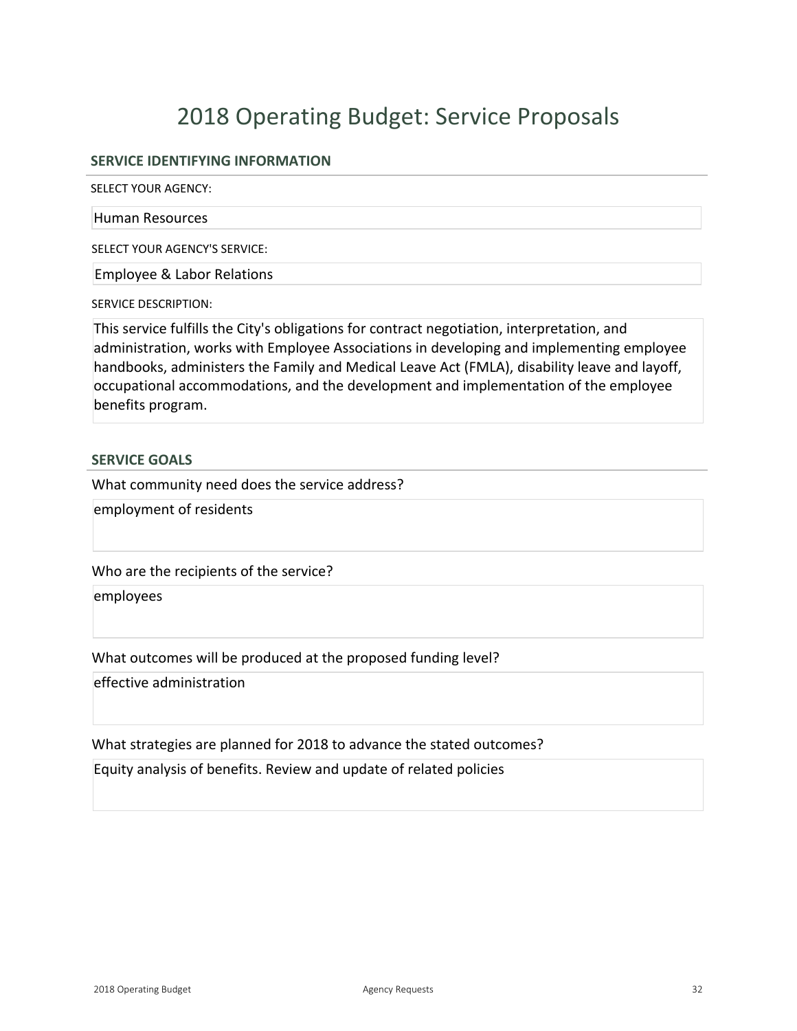# 2018 Operating Budget: Service Proposals

#### **SERVICE IDENTIFYING INFORMATION**

SELECT YOUR AGENCY:

#### Human Resources

SELECT YOUR AGENCY'S SERVICE:

Employee & Labor Relations

SERVICE DESCRIPTION:

This service fulfills the City's obligations for contract negotiation, interpretation, and administration, works with Employee Associations in developing and implementing employee handbooks, administers the Family and Medical Leave Act (FMLA), disability leave and layoff, occupational accommodations, and the development and implementation of the employee benefits program.

#### **SERVICE GOALS**

What community need does the service address?

employment of residents

Who are the recipients of the service?

employees

What outcomes will be produced at the proposed funding level?

effective administration

What strategies are planned for 2018 to advance the stated outcomes?

Equity analysis of benefits. Review and update of related policies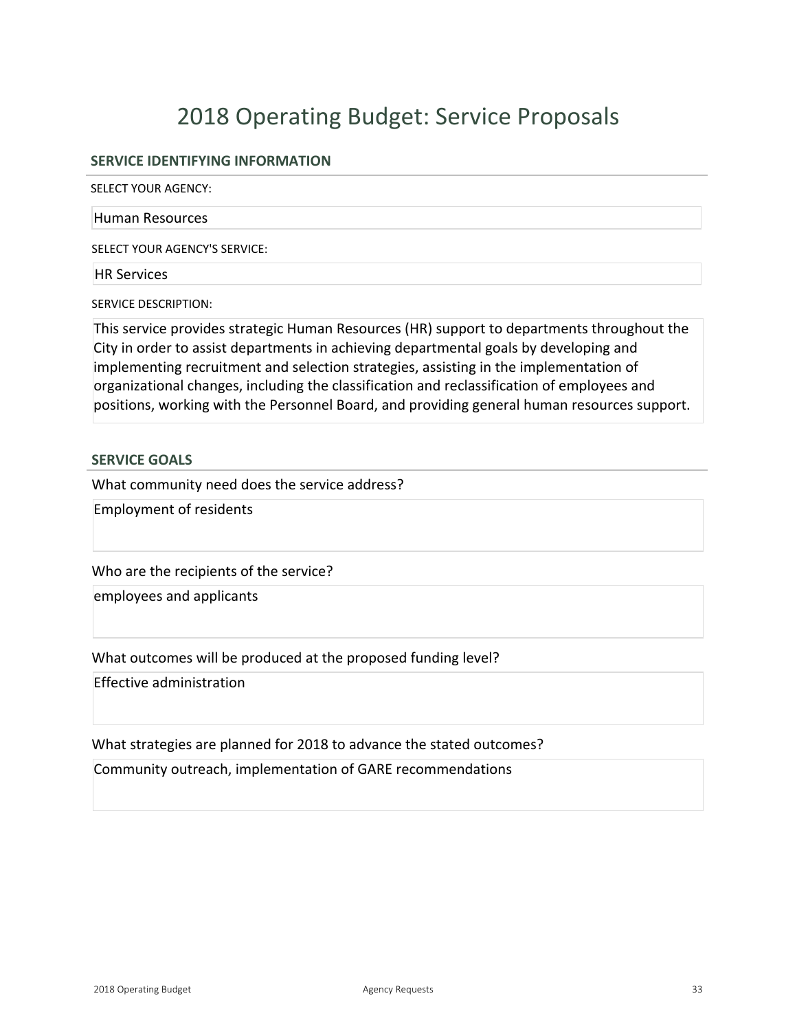# 2018 Operating Budget: Service Proposals

#### **SERVICE IDENTIFYING INFORMATION**

SELECT YOUR AGENCY:

#### Human Resources

SELECT YOUR AGENCY'S SERVICE:

HR Services

SERVICE DESCRIPTION:

This service provides strategic Human Resources (HR) support to departments throughout the City in order to assist departments in achieving departmental goals by developing and implementing recruitment and selection strategies, assisting in the implementation of organizational changes, including the classification and reclassification of employees and positions, working with the Personnel Board, and providing general human resources support.

#### **SERVICE GOALS**

What community need does the service address?

Employment of residents

Who are the recipients of the service?

employees and applicants

What outcomes will be produced at the proposed funding level?

Effective administration

What strategies are planned for 2018 to advance the stated outcomes?

Community outreach, implementation of GARE recommendations